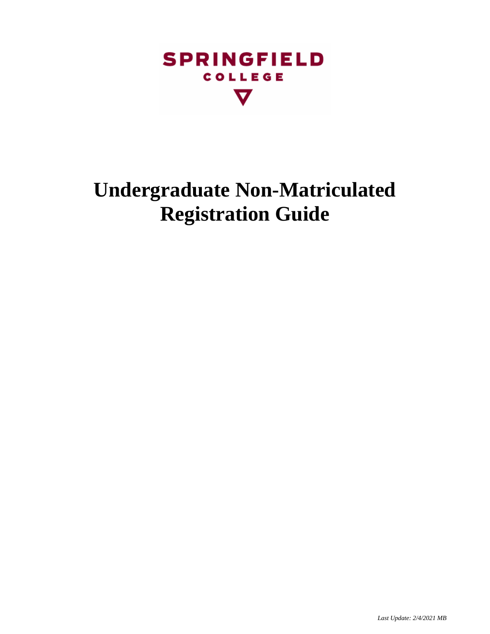

# **Undergraduate Non-Matriculated Registration Guide**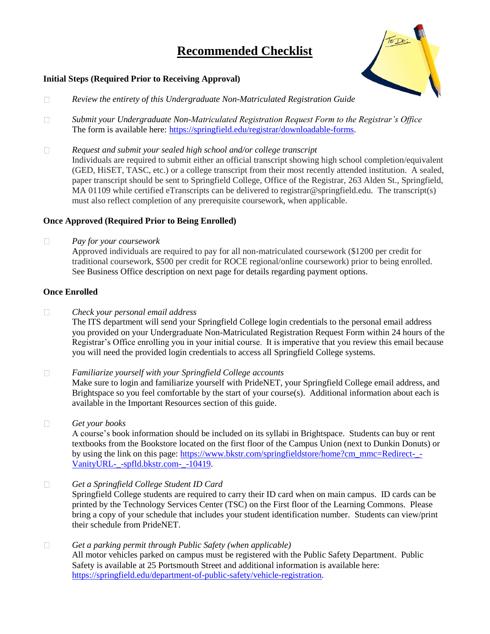## **Recommended Checklist**



#### **Initial Steps (Required Prior to Receiving Approval)**

- $\Box$ *Review the entirety of this Undergraduate Non-Matriculated Registration Guide*
- $\Box$ *Submit your Undergraduate Non-Matriculated Registration Request Form to the Registrar's Office* The form is available here: [https://springfield.edu/registrar/downloadable-forms.](https://springfield.edu/registrar/downloadable-forms)
- *Request and submit your sealed high school and/or college transcript*  $\Box$ Individuals are required to submit either an official transcript showing high school completion/equivalent (GED, HiSET, TASC, etc.) or a college transcript from their most recently attended institution. A sealed, paper transcript should be sent to Springfield College, Office of the Registrar, 263 Alden St., Springfield, MA 01109 while certified eTranscripts can be delivered to registrar@springfield.edu. The transcript(s) must also reflect completion of any prerequisite coursework, when applicable.

#### **Once Approved (Required Prior to Being Enrolled)**

 $\Box$ *Pay for your coursework*

> Approved individuals are required to pay for all non-matriculated coursework (\$1200 per credit for traditional coursework, \$500 per credit for ROCE regional/online coursework) prior to being enrolled. See Business Office description on next page for details regarding payment options.

#### **Once Enrolled**

 $\Box$ *Check your personal email address*

> The ITS department will send your Springfield College login credentials to the personal email address you provided on your Undergraduate Non-Matriculated Registration Request Form within 24 hours of the Registrar's Office enrolling you in your initial course. It is imperative that you review this email because you will need the provided login credentials to access all Springfield College systems.

 $\Box$ *Familiarize yourself with your Springfield College accounts*

> Make sure to login and familiarize yourself with PrideNET, your Springfield College email address, and Brightspace so you feel comfortable by the start of your course(s). Additional information about each is available in the Important Resources section of this guide.

 $\Box$ *Get your books*

A course's book information should be included on its syllabi in Brightspace. Students can buy or rent textbooks from the Bookstore located on the first floor of the Campus Union (next to Dunkin Donuts) or by using the link on this page: [https://www.bkstr.com/springfieldstore/home?cm\\_mmc=Redirect-\\_-](https://www.bkstr.com/springfieldstore/home?cm_mmc=Redirect-_-VanityURL-_-spfld.bkstr.com-_-10419) [VanityURL-\\_-spfld.bkstr.com-\\_-10419.](https://www.bkstr.com/springfieldstore/home?cm_mmc=Redirect-_-VanityURL-_-spfld.bkstr.com-_-10419)

 $\Box$ *Get a Springfield College Student ID Card*

Springfield College students are required to carry their ID card when on main campus. ID cards can be printed by the Technology Services Center (TSC) on the First floor of the Learning Commons. Please bring a copy of your schedule that includes your student identification number. Students can view/print their schedule from PrideNET.

#### $\Box$ *Get a parking permit through Public Safety (when applicable)*

All motor vehicles parked on campus must be registered with the Public Safety Department. Public Safety is available at 25 Portsmouth Street and additional information is available here: [https://springfield.edu/department-of-public-safety/vehicle-registration.](https://springfield.edu/department-of-public-safety/vehicle-registration)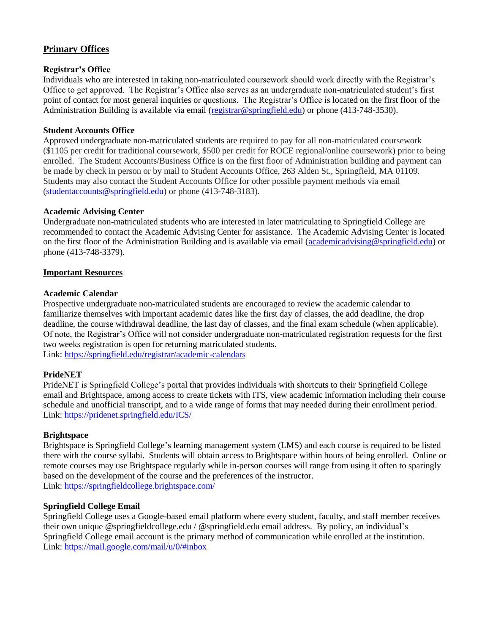### **Primary Offices**

#### **Registrar's Office**

Individuals who are interested in taking non-matriculated coursework should work directly with the Registrar's Office to get approved. The Registrar's Office also serves as an undergraduate non-matriculated student's first point of contact for most general inquiries or questions. The Registrar's Office is located on the first floor of the Administration Building is available via email [\(registrar@springfield.edu\)](mailto:registrar@springfield.edu) or phone (413-748-3530).

#### **Student Accounts Office**

Approved undergraduate non-matriculated students are required to pay for all non-matriculated coursework (\$1105 per credit for traditional coursework, \$500 per credit for ROCE regional/online coursework) prior to being enrolled. The Student Accounts/Business Office is on the first floor of Administration building and payment can be made by check in person or by mail to Student Accounts Office, 263 Alden St., Springfield, MA 01109. Students may also contact the Student Accounts Office for other possible payment methods via email [\(studentaccounts@springfield.edu\)](mailto:studentaccounts@springfield.edu) or phone (413-748-3183).

#### **Academic Advising Center**

Undergraduate non-matriculated students who are interested in later matriculating to Springfield College are recommended to contact the Academic Advising Center for assistance. The Academic Advising Center is located on the first floor of the Administration Building and is available via email [\(academicadvising@springfield.edu\)](mailto:academicadvising@springfield.edu) or phone (413-748-3379).

#### **Important Resources**

#### **Academic Calendar**

Prospective undergraduate non-matriculated students are encouraged to review the academic calendar to familiarize themselves with important academic dates like the first day of classes, the add deadline, the drop deadline, the course withdrawal deadline, the last day of classes, and the final exam schedule (when applicable). Of note, the Registrar's Office will not consider undergraduate non-matriculated registration requests for the first two weeks registration is open for returning matriculated students. Link:<https://springfield.edu/registrar/academic-calendars>

#### **PrideNET**

PrideNET is Springfield College's portal that provides individuals with shortcuts to their Springfield College email and Brightspace, among access to create tickets with ITS, view academic information including their course schedule and unofficial transcript, and to a wide range of forms that may needed during their enrollment period. Link:<https://pridenet.springfield.edu/ICS/>

#### **Brightspace**

Brightspace is Springfield College's learning management system (LMS) and each course is required to be listed there with the course syllabi. Students will obtain access to Brightspace within hours of being enrolled. Online or remote courses may use Brightspace regularly while in-person courses will range from using it often to sparingly based on the development of the course and the preferences of the instructor. Link:<https://springfieldcollege.brightspace.com/>

#### **Springfield College Email**

Springfield College uses a Google-based email platform where every student, faculty, and staff member receives their own unique @springfieldcollege.edu / @springfield.edu email address. By policy, an individual's Springfield College email account is the primary method of communication while enrolled at the institution. Link: [https://mail.google.com/mail/u/0/#inbox](https://mail.google.com/mail/u/0/%23inbox)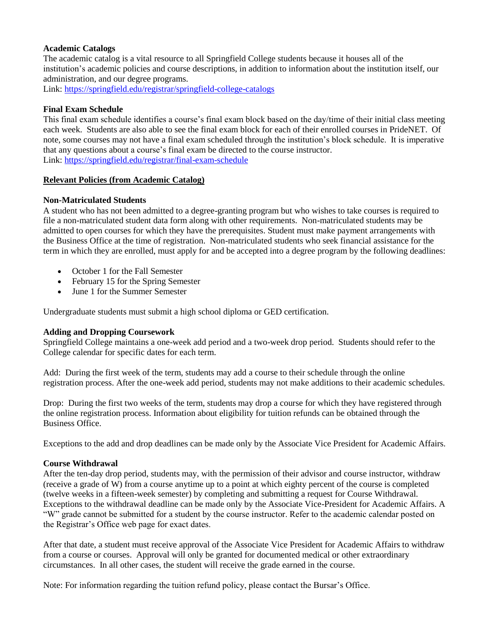#### **Academic Catalogs**

The academic catalog is a vital resource to all Springfield College students because it houses all of the institution's academic policies and course descriptions, in addition to information about the institution itself, our administration, and our degree programs.

Link:<https://springfield.edu/registrar/springfield-college-catalogs>

#### **Final Exam Schedule**

This final exam schedule identifies a course's final exam block based on the day/time of their initial class meeting each week. Students are also able to see the final exam block for each of their enrolled courses in PrideNET. Of note, some courses may not have a final exam scheduled through the institution's block schedule. It is imperative that any questions about a course's final exam be directed to the course instructor. Link:<https://springfield.edu/registrar/final-exam-schedule>

#### **Relevant Policies (from Academic Catalog)**

#### **Non-Matriculated Students**

A student who has not been admitted to a degree-granting program but who wishes to take courses is required to file a non-matriculated student data form along with other requirements. Non-matriculated students may be admitted to open courses for which they have the prerequisites. Student must make payment arrangements with the Business Office at the time of registration. Non-matriculated students who seek financial assistance for the term in which they are enrolled, must apply for and be accepted into a degree program by the following deadlines:

- October 1 for the Fall Semester
- February 15 for the Spring Semester
- June 1 for the Summer Semester

Undergraduate students must submit a high school diploma or GED certification.

#### **Adding and Dropping Coursework**

Springfield College maintains a one-week add period and a two-week drop period. Students should refer to the College calendar for specific dates for each term.

Add: During the first week of the term, students may add a course to their schedule through the online registration process. After the one-week add period, students may not make additions to their academic schedules.

Drop: During the first two weeks of the term, students may drop a course for which they have registered through the online registration process. Information about eligibility for tuition refunds can be obtained through the Business Office.

Exceptions to the add and drop deadlines can be made only by the Associate Vice President for Academic Affairs.

#### **Course Withdrawal**

After the ten-day drop period, students may, with the permission of their advisor and course instructor, withdraw (receive a grade of W) from a course anytime up to a point at which eighty percent of the course is completed (twelve weeks in a fifteen-week semester) by completing and submitting a request for Course Withdrawal. Exceptions to the withdrawal deadline can be made only by the Associate Vice-President for Academic Affairs. A "W" grade cannot be submitted for a student by the course instructor. Refer to the academic calendar posted on the Registrar's Office web page for exact dates.

After that date, a student must receive approval of the Associate Vice President for Academic Affairs to withdraw from a course or courses. Approval will only be granted for documented medical or other extraordinary circumstances. In all other cases, the student will receive the grade earned in the course.

Note: For information regarding the tuition refund policy, please contact the Bursar's Office.